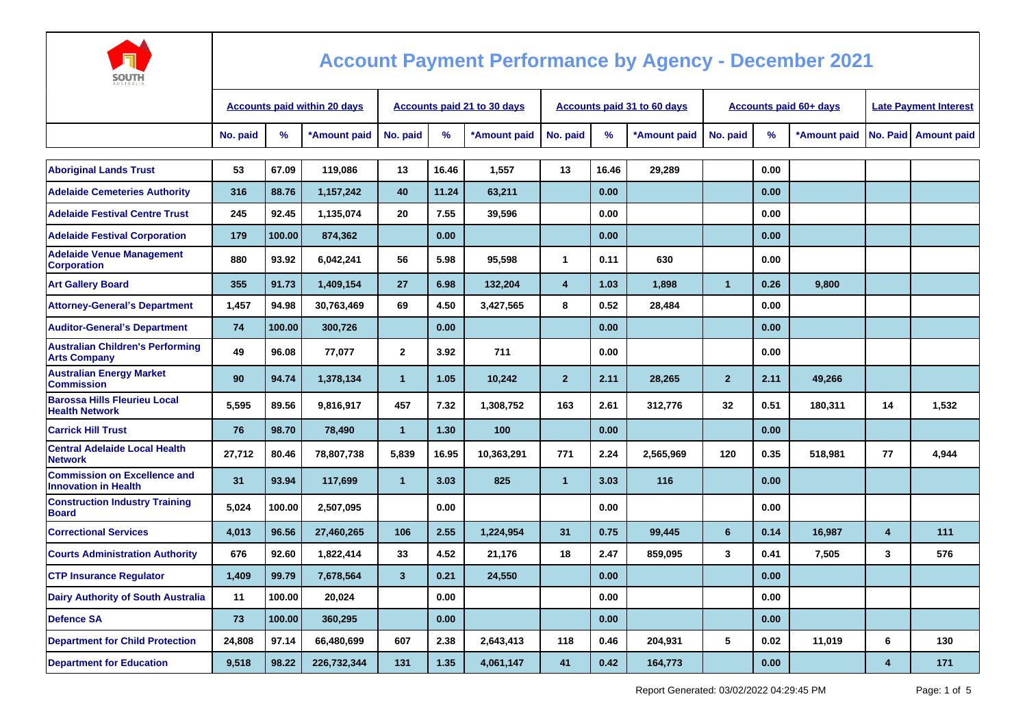

| <b>AUSTRALIA</b>                                                   |                                     |        |              |                             |       |              |                |       |                             |                               |      |              |                              |                      |
|--------------------------------------------------------------------|-------------------------------------|--------|--------------|-----------------------------|-------|--------------|----------------|-------|-----------------------------|-------------------------------|------|--------------|------------------------------|----------------------|
|                                                                    | <b>Accounts paid within 20 days</b> |        |              | Accounts paid 21 to 30 days |       |              |                |       | Accounts paid 31 to 60 days | <b>Accounts paid 60+ days</b> |      |              | <b>Late Payment Interest</b> |                      |
|                                                                    | No. paid                            | %      | *Amount paid | No. paid                    | %     | *Amount paid | No. paid       | %     | *Amount paid                | No. paid                      | $\%$ | *Amount paid |                              | No. Paid Amount paid |
|                                                                    |                                     |        |              |                             |       |              |                |       |                             |                               |      |              |                              |                      |
| <b>Aboriginal Lands Trust</b>                                      | 53                                  | 67.09  | 119,086      | 13                          | 16.46 | 1,557        | 13             | 16.46 | 29,289                      |                               | 0.00 |              |                              |                      |
| <b>Adelaide Cemeteries Authority</b>                               | 316                                 | 88.76  | 1,157,242    | 40                          | 11.24 | 63.211       |                | 0.00  |                             |                               | 0.00 |              |                              |                      |
| <b>Adelaide Festival Centre Trust</b>                              | 245                                 | 92.45  | 1,135,074    | 20                          | 7.55  | 39,596       |                | 0.00  |                             |                               | 0.00 |              |                              |                      |
| <b>Adelaide Festival Corporation</b>                               | 179                                 | 100.00 | 874,362      |                             | 0.00  |              |                | 0.00  |                             |                               | 0.00 |              |                              |                      |
| <b>Adelaide Venue Management</b><br><b>Corporation</b>             | 880                                 | 93.92  | 6,042,241    | 56                          | 5.98  | 95.598       | $\mathbf{1}$   | 0.11  | 630                         |                               | 0.00 |              |                              |                      |
| <b>Art Gallery Board</b>                                           | 355                                 | 91.73  | 1,409,154    | 27                          | 6.98  | 132,204      | $\overline{4}$ | 1.03  | 1,898                       | $\mathbf{1}$                  | 0.26 | 9,800        |                              |                      |
| <b>Attorney-General's Department</b>                               | 1,457                               | 94.98  | 30,763,469   | 69                          | 4.50  | 3,427,565    | 8              | 0.52  | 28,484                      |                               | 0.00 |              |                              |                      |
| <b>Auditor-General's Department</b>                                | 74                                  | 100.00 | 300,726      |                             | 0.00  |              |                | 0.00  |                             |                               | 0.00 |              |                              |                      |
| <b>Australian Children's Performing</b><br><b>Arts Company</b>     | 49                                  | 96.08  | 77,077       | $\overline{2}$              | 3.92  | 711          |                | 0.00  |                             |                               | 0.00 |              |                              |                      |
| <b>Australian Energy Market</b><br><b>Commission</b>               | 90                                  | 94.74  | 1,378,134    | $\mathbf{1}$                | 1.05  | 10.242       | $\overline{2}$ | 2.11  | 28,265                      | $\overline{2}$                | 2.11 | 49.266       |                              |                      |
| <b>Barossa Hills Fleurieu Local</b><br><b>Health Network</b>       | 5,595                               | 89.56  | 9,816,917    | 457                         | 7.32  | 1,308,752    | 163            | 2.61  | 312,776                     | 32                            | 0.51 | 180,311      | 14                           | 1,532                |
| <b>Carrick Hill Trust</b>                                          | 76                                  | 98.70  | 78,490       | $\mathbf{1}$                | 1.30  | 100          |                | 0.00  |                             |                               | 0.00 |              |                              |                      |
| <b>Central Adelaide Local Health</b><br><b>Network</b>             | 27,712                              | 80.46  | 78,807,738   | 5.839                       | 16.95 | 10,363,291   | 771            | 2.24  | 2.565.969                   | 120                           | 0.35 | 518,981      | 77                           | 4,944                |
| <b>Commission on Excellence and</b><br><b>Innovation in Health</b> | 31                                  | 93.94  | 117,699      | $\mathbf{1}$                | 3.03  | 825          | $\overline{1}$ | 3.03  | 116                         |                               | 0.00 |              |                              |                      |
| <b>Construction Industry Training</b><br><b>Board</b>              | 5,024                               | 100.00 | 2,507,095    |                             | 0.00  |              |                | 0.00  |                             |                               | 0.00 |              |                              |                      |
| <b>Correctional Services</b>                                       | 4,013                               | 96.56  | 27,460,265   | 106                         | 2.55  | 1,224,954    | 31             | 0.75  | 99,445                      | $6\phantom{1}$                | 0.14 | 16,987       | $\overline{4}$               | 111                  |
| <b>Courts Administration Authority</b>                             | 676                                 | 92.60  | 1,822,414    | 33                          | 4.52  | 21,176       | 18             | 2.47  | 859.095                     | 3                             | 0.41 | 7,505        | 3                            | 576                  |
| <b>CTP Insurance Requlator</b>                                     | 1,409                               | 99.79  | 7,678,564    | $\mathbf{3}$                | 0.21  | 24,550       |                | 0.00  |                             |                               | 0.00 |              |                              |                      |
| <b>Dairy Authority of South Australia</b>                          | 11                                  | 100.00 | 20,024       |                             | 0.00  |              |                | 0.00  |                             |                               | 0.00 |              |                              |                      |
| <b>Defence SA</b>                                                  | 73                                  | 100.00 | 360,295      |                             | 0.00  |              |                | 0.00  |                             |                               | 0.00 |              |                              |                      |
| <b>Department for Child Protection</b>                             | 24,808                              | 97.14  | 66.480.699   | 607                         | 2.38  | 2.643.413    | 118            | 0.46  | 204.931                     | 5                             | 0.02 | 11,019       | 6                            | 130                  |
| <b>Department for Education</b>                                    | 9,518                               | 98.22  | 226,732,344  | 131                         | 1.35  | 4,061,147    | 41             | 0.42  | 164,773                     |                               | 0.00 |              | $\overline{\mathbf{A}}$      | 171                  |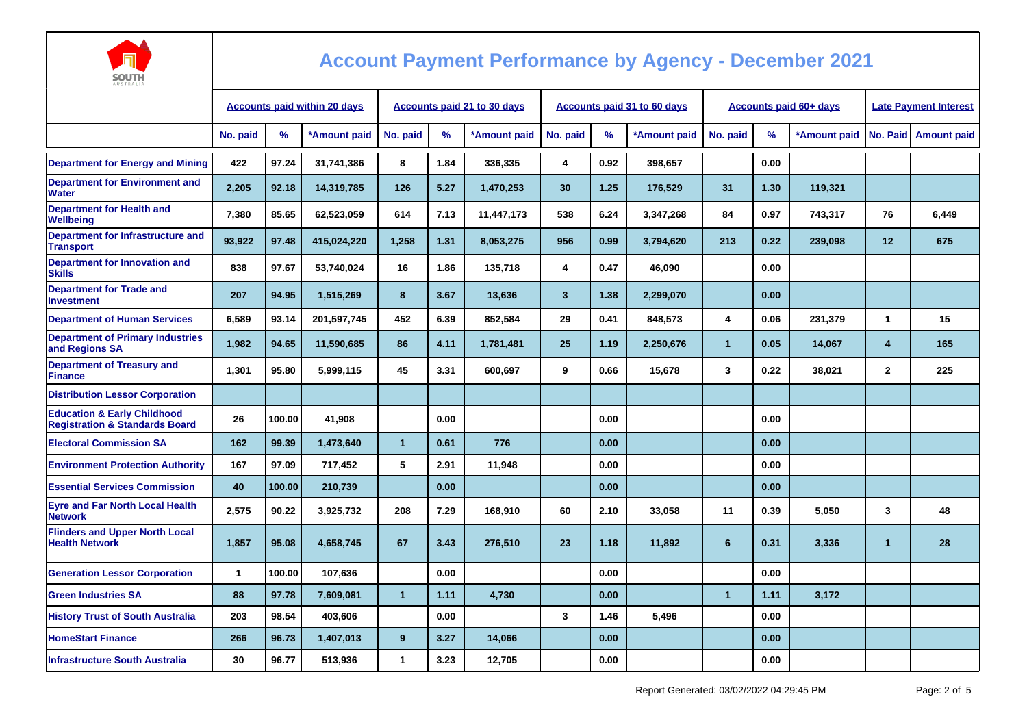

| AUSTRALIA                                                                           |                                     |        |              |                                    |      |              |              |      |                                    |                |                               |                              |                |                    |
|-------------------------------------------------------------------------------------|-------------------------------------|--------|--------------|------------------------------------|------|--------------|--------------|------|------------------------------------|----------------|-------------------------------|------------------------------|----------------|--------------------|
|                                                                                     | <b>Accounts paid within 20 days</b> |        |              | <b>Accounts paid 21 to 30 days</b> |      |              |              |      | <b>Accounts paid 31 to 60 days</b> |                | <b>Accounts paid 60+ days</b> | <b>Late Payment Interest</b> |                |                    |
|                                                                                     | No. paid                            | $\%$   | *Amount paid | No. paid                           | %    | *Amount paid | No. paid     | %    | *Amount paid                       | No. paid       | %                             | *Amount paid                 | No. Paid       | <b>Amount paid</b> |
| <b>Department for Energy and Mining</b>                                             | 422                                 | 97.24  | 31.741.386   | 8                                  | 1.84 | 336,335      | 4            | 0.92 | 398,657                            |                | 0.00                          |                              |                |                    |
| <b>Department for Environment and</b><br><b>Water</b>                               | 2,205                               | 92.18  | 14,319,785   | 126                                | 5.27 | 1,470,253    | 30           | 1.25 | 176,529                            | 31             | 1.30                          | 119,321                      |                |                    |
| <b>Department for Health and</b><br>Wellbeing                                       | 7,380                               | 85.65  | 62,523,059   | 614                                | 7.13 | 11,447,173   | 538          | 6.24 | 3,347,268                          | 84             | 0.97                          | 743,317                      | 76             | 6,449              |
| Department for Infrastructure and<br><b>Transport</b>                               | 93.922                              | 97.48  | 415,024,220  | 1,258                              | 1.31 | 8,053,275    | 956          | 0.99 | 3,794,620                          | 213            | 0.22                          | 239,098                      | 12             | 675                |
| <b>Department for Innovation and</b><br><b>Skills</b>                               | 838                                 | 97.67  | 53.740.024   | 16                                 | 1.86 | 135,718      | 4            | 0.47 | 46.090                             |                | 0.00                          |                              |                |                    |
| <b>Department for Trade and</b><br><b>Investment</b>                                | 207                                 | 94.95  | 1,515,269    | 8                                  | 3.67 | 13,636       | $\mathbf{3}$ | 1.38 | 2,299,070                          |                | 0.00                          |                              |                |                    |
| <b>Department of Human Services</b>                                                 | 6,589                               | 93.14  | 201,597,745  | 452                                | 6.39 | 852,584      | 29           | 0.41 | 848,573                            | 4              | 0.06                          | 231,379                      | 1              | 15                 |
| <b>Department of Primary Industries</b><br>and Regions SA                           | 1,982                               | 94.65  | 11,590,685   | 86                                 | 4.11 | 1,781,481    | 25           | 1.19 | 2,250,676                          | $\mathbf{1}$   | 0.05                          | 14,067                       | 4              | 165                |
| <b>Department of Treasury and</b><br><b>Finance</b>                                 | 1,301                               | 95.80  | 5,999,115    | 45                                 | 3.31 | 600,697      | 9            | 0.66 | 15,678                             | 3              | 0.22                          | 38,021                       | $\overline{2}$ | 225                |
| <b>Distribution Lessor Corporation</b>                                              |                                     |        |              |                                    |      |              |              |      |                                    |                |                               |                              |                |                    |
| <b>Education &amp; Early Childhood</b><br><b>Registration &amp; Standards Board</b> | 26                                  | 100.00 | 41,908       |                                    | 0.00 |              |              | 0.00 |                                    |                | 0.00                          |                              |                |                    |
| <b>Electoral Commission SA</b>                                                      | 162                                 | 99.39  | 1,473,640    | $\mathbf{1}$                       | 0.61 | 776          |              | 0.00 |                                    |                | 0.00                          |                              |                |                    |
| <b>Environment Protection Authority</b>                                             | 167                                 | 97.09  | 717,452      | 5                                  | 2.91 | 11,948       |              | 0.00 |                                    |                | 0.00                          |                              |                |                    |
| <b>Essential Services Commission</b>                                                | 40                                  | 100.00 | 210,739      |                                    | 0.00 |              |              | 0.00 |                                    |                | 0.00                          |                              |                |                    |
| <b>Eyre and Far North Local Health</b><br><b>Network</b>                            | 2,575                               | 90.22  | 3,925,732    | 208                                | 7.29 | 168,910      | 60           | 2.10 | 33,058                             | 11             | 0.39                          | 5,050                        | 3              | 48                 |
| <b>Flinders and Upper North Local</b><br><b>Health Network</b>                      | 1,857                               | 95.08  | 4,658,745    | 67                                 | 3.43 | 276,510      | 23           | 1.18 | 11,892                             | $6\phantom{1}$ | 0.31                          | 3,336                        | $\mathbf{1}$   | 28                 |
| <b>Generation Lessor Corporation</b>                                                | $\mathbf{1}$                        | 100.00 | 107,636      |                                    | 0.00 |              |              | 0.00 |                                    |                | 0.00                          |                              |                |                    |
| <b>Green Industries SA</b>                                                          | 88                                  | 97.78  | 7.609.081    | $\mathbf{1}$                       | 1.11 | 4,730        |              | 0.00 |                                    | $\overline{1}$ | 1.11                          | 3,172                        |                |                    |
| <b>History Trust of South Australia</b>                                             | 203                                 | 98.54  | 403,606      |                                    | 0.00 |              | 3            | 1.46 | 5,496                              |                | 0.00                          |                              |                |                    |
| <b>HomeStart Finance</b>                                                            | 266                                 | 96.73  | 1,407,013    | 9                                  | 3.27 | 14,066       |              | 0.00 |                                    |                | 0.00                          |                              |                |                    |
| <b>Infrastructure South Australia</b>                                               | 30                                  | 96.77  | 513,936      | 1                                  | 3.23 | 12,705       |              | 0.00 |                                    |                | 0.00                          |                              |                |                    |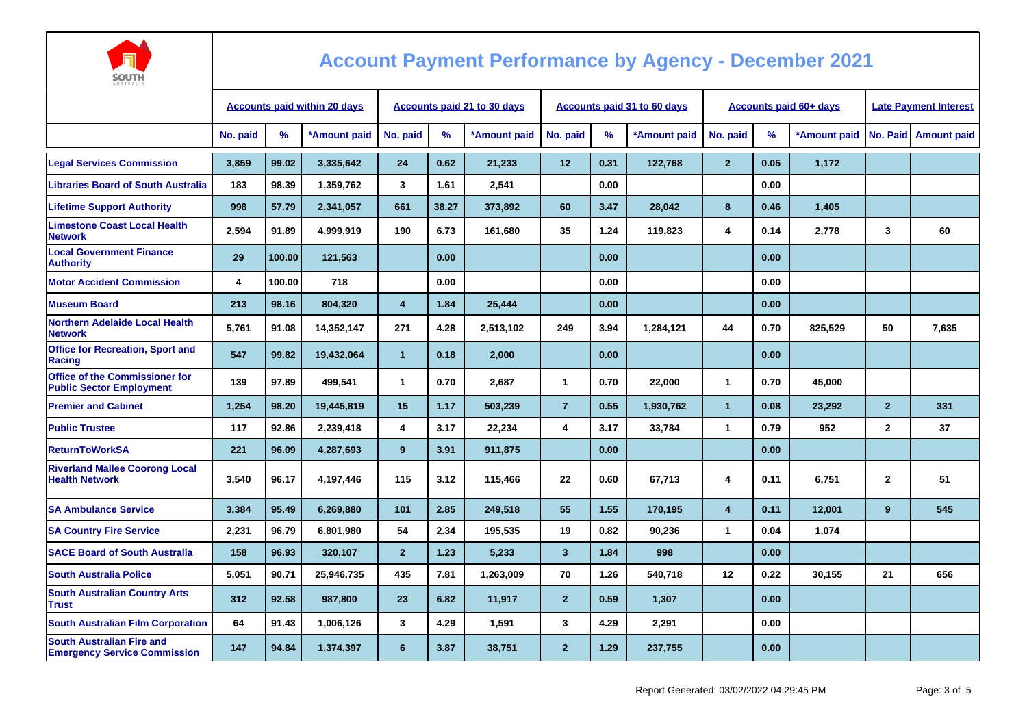

| AUSTRALIA                                                                |                                     |        |                                    |                |       |              |                |                                    |              |                               |                              |              |                |                      |
|--------------------------------------------------------------------------|-------------------------------------|--------|------------------------------------|----------------|-------|--------------|----------------|------------------------------------|--------------|-------------------------------|------------------------------|--------------|----------------|----------------------|
|                                                                          | <b>Accounts paid within 20 days</b> |        | <b>Accounts paid 21 to 30 days</b> |                |       |              |                | <b>Accounts paid 31 to 60 days</b> |              | <b>Accounts paid 60+ days</b> | <b>Late Payment Interest</b> |              |                |                      |
|                                                                          | No. paid                            | %      | *Amount paid                       | No. paid       | $\%$  | *Amount paid | No. paid       | $\frac{9}{6}$                      | *Amount paid | No. paid                      | $\%$                         | *Amount paid |                | No. Paid Amount paid |
| <b>Legal Services Commission</b>                                         | 3,859                               | 99.02  | 3,335,642                          | 24             | 0.62  | 21,233       | 12             | 0.31                               | 122,768      | $\overline{2}$                | 0.05                         | 1,172        |                |                      |
| <b>Libraries Board of South Australia</b>                                | 183                                 | 98.39  | 1,359,762                          | 3              | 1.61  | 2,541        |                | 0.00                               |              |                               | 0.00                         |              |                |                      |
| <b>Lifetime Support Authority</b>                                        | 998                                 | 57.79  | 2,341,057                          | 661            | 38.27 | 373,892      | 60             | 3.47                               | 28,042       | 8                             | 0.46                         | 1,405        |                |                      |
| <b>Limestone Coast Local Health</b><br><b>Network</b>                    | 2,594                               | 91.89  | 4,999,919                          | 190            | 6.73  | 161,680      | 35             | 1.24                               | 119,823      | 4                             | 0.14                         | 2,778        | 3              | 60                   |
| <b>Local Government Finance</b><br><b>Authority</b>                      | 29                                  | 100.00 | 121,563                            |                | 0.00  |              |                | 0.00                               |              |                               | 0.00                         |              |                |                      |
| <b>Motor Accident Commission</b>                                         | 4                                   | 100.00 | 718                                |                | 0.00  |              |                | 0.00                               |              |                               | 0.00                         |              |                |                      |
| <b>Museum Board</b>                                                      | 213                                 | 98.16  | 804,320                            | 4              | 1.84  | 25,444       |                | 0.00                               |              |                               | 0.00                         |              |                |                      |
| <b>Northern Adelaide Local Health</b><br><b>Network</b>                  | 5,761                               | 91.08  | 14,352,147                         | 271            | 4.28  | 2,513,102    | 249            | 3.94                               | 1,284,121    | 44                            | 0.70                         | 825,529      | 50             | 7,635                |
| <b>Office for Recreation, Sport and</b><br>Racing                        | 547                                 | 99.82  | 19,432,064                         | $\mathbf{1}$   | 0.18  | 2,000        |                | 0.00                               |              |                               | 0.00                         |              |                |                      |
| <b>Office of the Commissioner for</b><br><b>Public Sector Employment</b> | 139                                 | 97.89  | 499,541                            | $\mathbf{1}$   | 0.70  | 2,687        | $\mathbf{1}$   | 0.70                               | 22,000       | $\mathbf{1}$                  | 0.70                         | 45,000       |                |                      |
| <b>Premier and Cabinet</b>                                               | 1,254                               | 98.20  | 19,445,819                         | 15             | 1.17  | 503,239      | $\overline{7}$ | 0.55                               | 1,930,762    | $\overline{1}$                | 0.08                         | 23,292       | $\overline{2}$ | 331                  |
| <b>Public Trustee</b>                                                    | 117                                 | 92.86  | 2,239,418                          | 4              | 3.17  | 22,234       | 4              | 3.17                               | 33,784       | $\mathbf{1}$                  | 0.79                         | 952          | $\mathbf{2}$   | 37                   |
| <b>ReturnToWorkSA</b>                                                    | 221                                 | 96.09  | 4,287,693                          | 9              | 3.91  | 911,875      |                | 0.00                               |              |                               | 0.00                         |              |                |                      |
| <b>Riverland Mallee Coorong Local</b><br><b>Health Network</b>           | 3,540                               | 96.17  | 4,197,446                          | 115            | 3.12  | 115,466      | 22             | 0.60                               | 67,713       | 4                             | 0.11                         | 6,751        | $\mathbf{2}$   | 51                   |
| <b>SA Ambulance Service</b>                                              | 3.384                               | 95.49  | 6,269,880                          | 101            | 2.85  | 249,518      | 55             | 1.55                               | 170,195      | $\overline{\mathbf{4}}$       | 0.11                         | 12,001       | 9              | 545                  |
| <b>SA Country Fire Service</b>                                           | 2,231                               | 96.79  | 6,801,980                          | 54             | 2.34  | 195,535      | 19             | 0.82                               | 90,236       | $\mathbf{1}$                  | 0.04                         | 1,074        |                |                      |
| <b>SACE Board of South Australia</b>                                     | 158                                 | 96.93  | 320,107                            | $\overline{2}$ | 1.23  | 5,233        | $\mathbf{3}$   | 1.84                               | 998          |                               | 0.00                         |              |                |                      |
| <b>South Australia Police</b>                                            | 5,051                               | 90.71  | 25,946,735                         | 435            | 7.81  | 1,263,009    | 70             | 1.26                               | 540,718      | 12 <sup>2</sup>               | 0.22                         | 30,155       | 21             | 656                  |
| <b>South Australian Country Arts</b><br><b>Trust</b>                     | 312                                 | 92.58  | 987,800                            | 23             | 6.82  | 11,917       | $\overline{2}$ | 0.59                               | 1,307        |                               | 0.00                         |              |                |                      |
| <b>South Australian Film Corporation</b>                                 | 64                                  | 91.43  | 1,006,126                          | 3              | 4.29  | 1,591        | 3              | 4.29                               | 2,291        |                               | 0.00                         |              |                |                      |
| <b>South Australian Fire and</b><br><b>Emergency Service Commission</b>  | 147                                 | 94.84  | 1,374,397                          | 6              | 3.87  | 38,751       | $\overline{2}$ | 1.29                               | 237,755      |                               | 0.00                         |              |                |                      |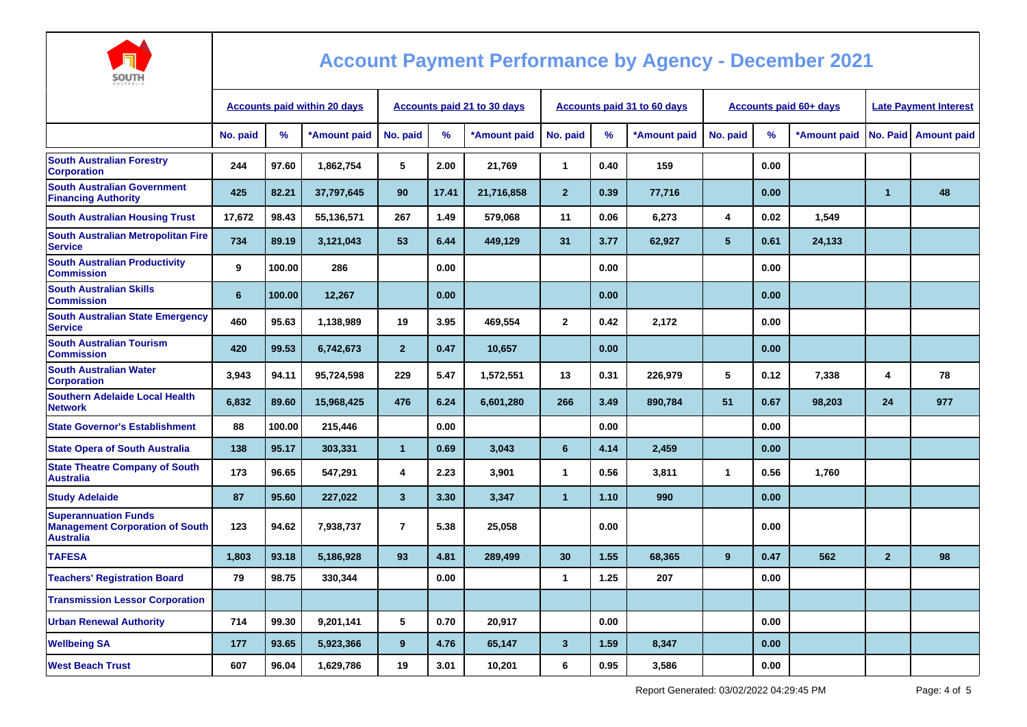

| <b>AUSTRALIA</b>                                                                          |                                     |        |              |                             |       |              |                |      |                             |                               |      |              |                              |                      |
|-------------------------------------------------------------------------------------------|-------------------------------------|--------|--------------|-----------------------------|-------|--------------|----------------|------|-----------------------------|-------------------------------|------|--------------|------------------------------|----------------------|
|                                                                                           | <b>Accounts paid within 20 days</b> |        |              | Accounts paid 21 to 30 days |       |              |                |      | Accounts paid 31 to 60 days | <b>Accounts paid 60+ days</b> |      |              | <b>Late Payment Interest</b> |                      |
|                                                                                           | No. paid                            | %      | *Amount paid | No. paid                    | %     | *Amount paid | No. paid       | %    | *Amount paid                | No. paid                      | %    | *Amount paid |                              | No. Paid Amount paid |
| <b>South Australian Forestry</b><br><b>Corporation</b>                                    | 244                                 | 97.60  | 1,862,754    | 5                           | 2.00  | 21,769       | $\mathbf{1}$   | 0.40 | 159                         |                               | 0.00 |              |                              |                      |
| <b>South Australian Government</b><br><b>Financing Authority</b>                          | 425                                 | 82.21  | 37,797,645   | 90                          | 17.41 | 21,716,858   | $\overline{2}$ | 0.39 | 77,716                      |                               | 0.00 |              | $\overline{1}$               | 48                   |
| <b>South Australian Housing Trust</b>                                                     | 17,672                              | 98.43  | 55,136,571   | 267                         | 1.49  | 579,068      | 11             | 0.06 | 6,273                       | 4                             | 0.02 | 1,549        |                              |                      |
| <b>South Australian Metropolitan Fire</b><br><b>Service</b>                               | 734                                 | 89.19  | 3,121,043    | 53                          | 6.44  | 449,129      | 31             | 3.77 | 62,927                      | 5 <sup>5</sup>                | 0.61 | 24,133       |                              |                      |
| <b>South Australian Productivity</b><br><b>Commission</b>                                 | 9                                   | 100.00 | 286          |                             | 0.00  |              |                | 0.00 |                             |                               | 0.00 |              |                              |                      |
| <b>South Australian Skills</b><br><b>Commission</b>                                       | 6                                   | 100.00 | 12,267       |                             | 0.00  |              |                | 0.00 |                             |                               | 0.00 |              |                              |                      |
| <b>South Australian State Emergency</b><br><b>Service</b>                                 | 460                                 | 95.63  | 1,138,989    | 19                          | 3.95  | 469,554      | $\mathbf{2}$   | 0.42 | 2,172                       |                               | 0.00 |              |                              |                      |
| <b>South Australian Tourism</b><br><b>Commission</b>                                      | 420                                 | 99.53  | 6,742,673    | $\overline{2}$              | 0.47  | 10,657       |                | 0.00 |                             |                               | 0.00 |              |                              |                      |
| <b>South Australian Water</b><br><b>Corporation</b>                                       | 3,943                               | 94.11  | 95,724,598   | 229                         | 5.47  | 1,572,551    | 13             | 0.31 | 226,979                     | 5                             | 0.12 | 7,338        | 4                            | 78                   |
| <b>Southern Adelaide Local Health</b><br><b>Network</b>                                   | 6,832                               | 89.60  | 15,968,425   | 476                         | 6.24  | 6,601,280    | 266            | 3.49 | 890,784                     | 51                            | 0.67 | 98,203       | 24                           | 977                  |
| <b>State Governor's Establishment</b>                                                     | 88                                  | 100.00 | 215,446      |                             | 0.00  |              |                | 0.00 |                             |                               | 0.00 |              |                              |                      |
| <b>State Opera of South Australia</b>                                                     | 138                                 | 95.17  | 303,331      | $\overline{1}$              | 0.69  | 3,043        | 6              | 4.14 | 2,459                       |                               | 0.00 |              |                              |                      |
| <b>State Theatre Company of South</b><br><b>Australia</b>                                 | 173                                 | 96.65  | 547,291      | $\overline{\mathbf{4}}$     | 2.23  | 3,901        | $\mathbf{1}$   | 0.56 | 3,811                       | 1                             | 0.56 | 1,760        |                              |                      |
| <b>Study Adelaide</b>                                                                     | 87                                  | 95.60  | 227,022      | $\mathbf{3}$                | 3.30  | 3,347        | $\mathbf 1$    | 1.10 | 990                         |                               | 0.00 |              |                              |                      |
| <b>Superannuation Funds</b><br><b>Management Corporation of South</b><br><b>Australia</b> | 123                                 | 94.62  | 7,938,737    | $\overline{7}$              | 5.38  | 25,058       |                | 0.00 |                             |                               | 0.00 |              |                              |                      |
| <b>TAFESA</b>                                                                             | 1,803                               | 93.18  | 5,186,928    | 93                          | 4.81  | 289,499      | 30             | 1.55 | 68,365                      | 9                             | 0.47 | 562          | $\overline{2}$               | 98                   |
| <b>Teachers' Registration Board</b>                                                       | 79                                  | 98.75  | 330,344      |                             | 0.00  |              | $\mathbf{1}$   | 1.25 | 207                         |                               | 0.00 |              |                              |                      |
| <b>Transmission Lessor Corporation</b>                                                    |                                     |        |              |                             |       |              |                |      |                             |                               |      |              |                              |                      |
| <b>Urban Renewal Authority</b>                                                            | 714                                 | 99.30  | 9,201,141    | 5                           | 0.70  | 20,917       |                | 0.00 |                             |                               | 0.00 |              |                              |                      |
| <b>Wellbeing SA</b>                                                                       | 177                                 | 93.65  | 5,923,366    | 9                           | 4.76  | 65,147       | $\mathbf{3}$   | 1.59 | 8,347                       |                               | 0.00 |              |                              |                      |
| <b>West Beach Trust</b>                                                                   | 607                                 | 96.04  | 1,629,786    | 19                          | 3.01  | 10,201       | 6              | 0.95 | 3,586                       |                               | 0.00 |              |                              |                      |